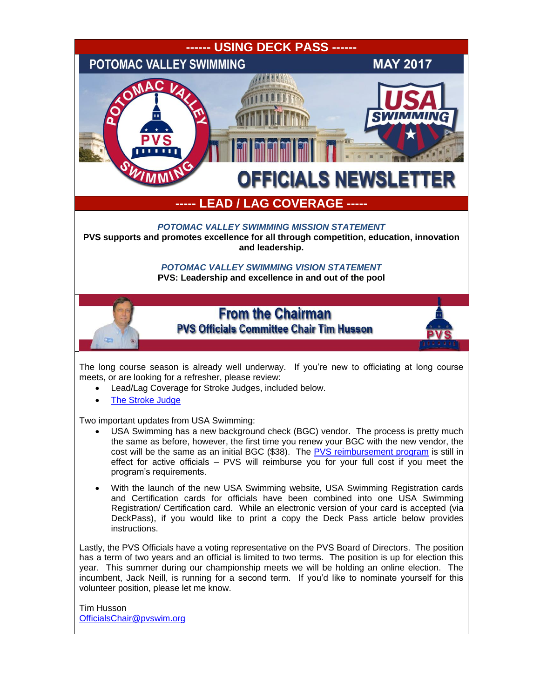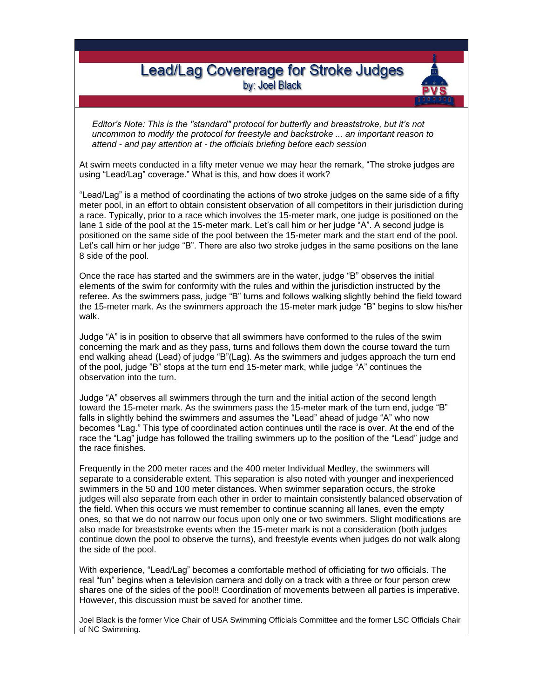## **Lead/Lag Covererage for Stroke Judges** by: Joel Black

*Editor's Note: This is the "standard" protocol for butterfly and breaststroke, but it's not uncommon to modify the protocol for freestyle and backstroke ... an important reason to attend - and pay attention at - the officials briefing before each session*

At swim meets conducted in a fifty meter venue we may hear the remark, "The stroke judges are using "Lead/Lag" coverage." What is this, and how does it work?

"Lead/Lag" is a method of coordinating the actions of two stroke judges on the same side of a fifty meter pool, in an effort to obtain consistent observation of all competitors in their jurisdiction during a race. Typically, prior to a race which involves the 15-meter mark, one judge is positioned on the lane 1 side of the pool at the 15-meter mark. Let's call him or her judge "A". A second judge is positioned on the same side of the pool between the 15-meter mark and the start end of the pool. Let's call him or her judge "B". There are also two stroke judges in the same positions on the lane 8 side of the pool.

Once the race has started and the swimmers are in the water, judge "B" observes the initial elements of the swim for conformity with the rules and within the jurisdiction instructed by the referee. As the swimmers pass, judge "B" turns and follows walking slightly behind the field toward the 15-meter mark. As the swimmers approach the 15-meter mark judge "B" begins to slow his/her walk.

Judge "A" is in position to observe that all swimmers have conformed to the rules of the swim concerning the mark and as they pass, turns and follows them down the course toward the turn end walking ahead (Lead) of judge "B"(Lag). As the swimmers and judges approach the turn end of the pool, judge "B" stops at the turn end 15-meter mark, while judge "A" continues the observation into the turn.

Judge "A" observes all swimmers through the turn and the initial action of the second length toward the 15-meter mark. As the swimmers pass the 15-meter mark of the turn end, judge "B" falls in slightly behind the swimmers and assumes the "Lead" ahead of judge "A" who now becomes "Lag." This type of coordinated action continues until the race is over. At the end of the race the "Lag" judge has followed the trailing swimmers up to the position of the "Lead" judge and the race finishes.

Frequently in the 200 meter races and the 400 meter Individual Medley, the swimmers will separate to a considerable extent. This separation is also noted with younger and inexperienced swimmers in the 50 and 100 meter distances. When swimmer separation occurs, the stroke judges will also separate from each other in order to maintain consistently balanced observation of the field. When this occurs we must remember to continue scanning all lanes, even the empty ones, so that we do not narrow our focus upon only one or two swimmers. Slight modifications are also made for breaststroke events when the 15-meter mark is not a consideration (both judges continue down the pool to observe the turns), and freestyle events when judges do not walk along the side of the pool.

With experience, "Lead/Lag" becomes a comfortable method of officiating for two officials. The real "fun" begins when a television camera and dolly on a track with a three or four person crew shares one of the sides of the pool!! Coordination of movements between all parties is imperative. However, this discussion must be saved for another time.

Joel Black is the former Vice Chair of USA Swimming Officials Committee and the former LSC Officials Chair of NC Swimming.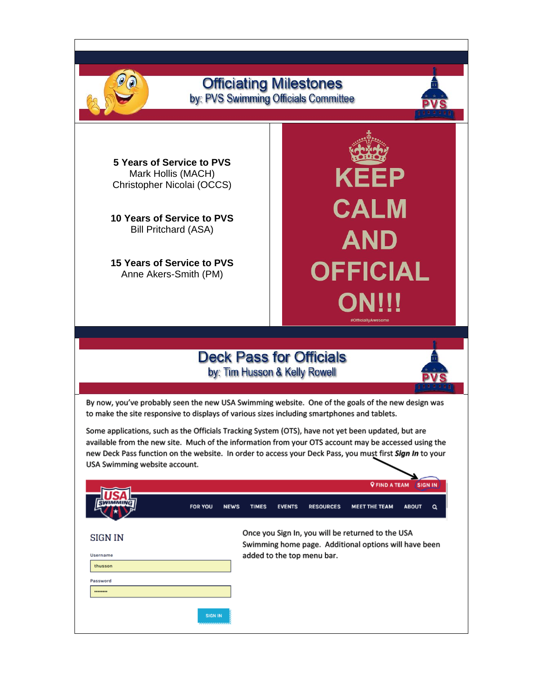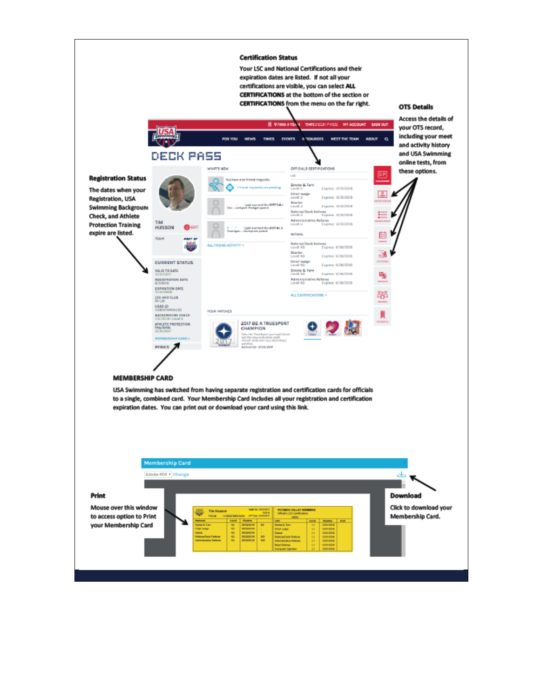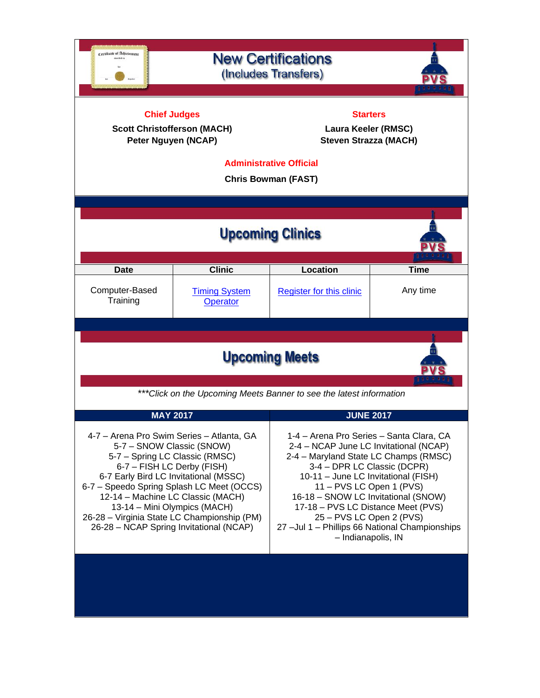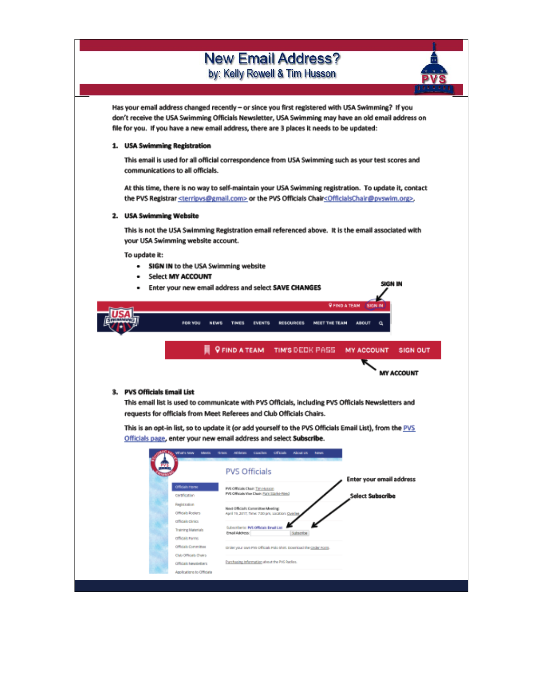## **New Email Address?** by: Kelly Rowell & Tim Husson

Has your email address changed recently - or since you first registered with USA Swimming? If you don't receive the USA Swimming Officials Newsletter, USA Swimming may have an old email address on file for you. If you have a new email address, there are 3 places it needs to be updated:

## 1. USA Swimming Registration

This email is used for all official correspondence from USA Swimming such as your test scores and communications to all officials.

At this time, there is no way to self-maintain your USA Swimming registration. To update it, contact the PVS Registrar <terripys@gmail.com> or the PVS Officials Chair<OfficialsChair@pvswim.org>.

## 2. USA Swimming Website

This is not the USA Swimming Registration email referenced above. It is the email associated with your USA Swimming website account.

SIGN IN

To update it:

- SIGN IN to the USA Swimming website
- Select MY ACCOUNT
- Enter your new email address and select SAVE CHANGES

|                             |                                                      |                                    |                                                                                                         |                      | <b>V FIND A TEAM / SIGN IN</b> |                   |
|-----------------------------|------------------------------------------------------|------------------------------------|---------------------------------------------------------------------------------------------------------|----------------------|--------------------------------|-------------------|
|                             | FOR YOU                                              | <b>NEWS</b><br><b>TIMES</b>        | <b>EVENTS</b><br><b><i>VESCURCES</i></b>                                                                | <b>MEET THE TEAM</b> | <b>AROUT</b><br>a              |                   |
|                             |                                                      | <b>Q FIND A TEAM</b>               | TIM'S DECK PASS                                                                                         |                      | <b>MY ACCOUNT</b>              | <b>SIGN OUT</b>   |
|                             |                                                      |                                    |                                                                                                         |                      |                                | <b>MY ACCOUNT</b> |
|                             |                                                      |                                    |                                                                                                         |                      |                                |                   |
| 3. PVS Officials Email List |                                                      |                                    |                                                                                                         |                      |                                |                   |
|                             |                                                      |                                    | This email list is used to communicate with PVS Officials, including PVS Officials Newsletters and      |                      |                                |                   |
|                             |                                                      |                                    | requests for officials from Meet Referees and Club Officials Chairs.                                    |                      |                                |                   |
|                             |                                                      |                                    |                                                                                                         |                      |                                |                   |
|                             |                                                      |                                    |                                                                                                         |                      |                                |                   |
|                             |                                                      |                                    | This is an opt-in list, so to update it (or add yourself to the PVS Officials Email List), from the PVS |                      |                                |                   |
|                             |                                                      |                                    | Officials page, enter your new email address and select Subscribe.                                      |                      |                                |                   |
|                             | Vitats Nov<br><b>Mexico</b>                          | <b>TERRITE</b><br><b>Athletins</b> | <b>Officials</b><br>About UK<br>casches.                                                                | <b>banes</b>         |                                |                   |
|                             |                                                      |                                    |                                                                                                         |                      |                                |                   |
|                             |                                                      |                                    |                                                                                                         |                      |                                |                   |
|                             |                                                      |                                    | <b>PVS Officials</b>                                                                                    |                      | Enter your email address       |                   |
|                             | Officials Home                                       |                                    | PV6 Officials Chair: Tim Husson                                                                         |                      |                                |                   |
|                             | centrication                                         |                                    | FVS Officials Vice Chain Fury Starlin-Ford                                                              |                      | <b>Select Subscribe</b>        |                   |
|                             | Registration.                                        |                                    |                                                                                                         |                      |                                |                   |
|                             | Officials Bostors                                    |                                    | Next Official's Committee Meeting:<br>April 19, 2017, Time: 7/20 pril, sociation: Cyantee               |                      |                                |                   |
|                             | officials clinics                                    |                                    |                                                                                                         |                      |                                |                   |
|                             | Training Materials                                   | <b>Email Address:</b>              | Subscribe to: PVS Officials Email List<br>Subscribe                                                     |                      |                                |                   |
|                             | <b>OTTOURS FINITIS</b>                               |                                    |                                                                                                         |                      |                                |                   |
|                             | Officials Committee                                  |                                    | tarder your own PVs officials Polo shirt, coverigad the coder rights                                    |                      |                                |                   |
|                             | Clab Officials Chairs<br><b>CITICIAIL NewSetters</b> |                                    | Parchasing information about the PVS Radios.                                                            |                      |                                |                   |